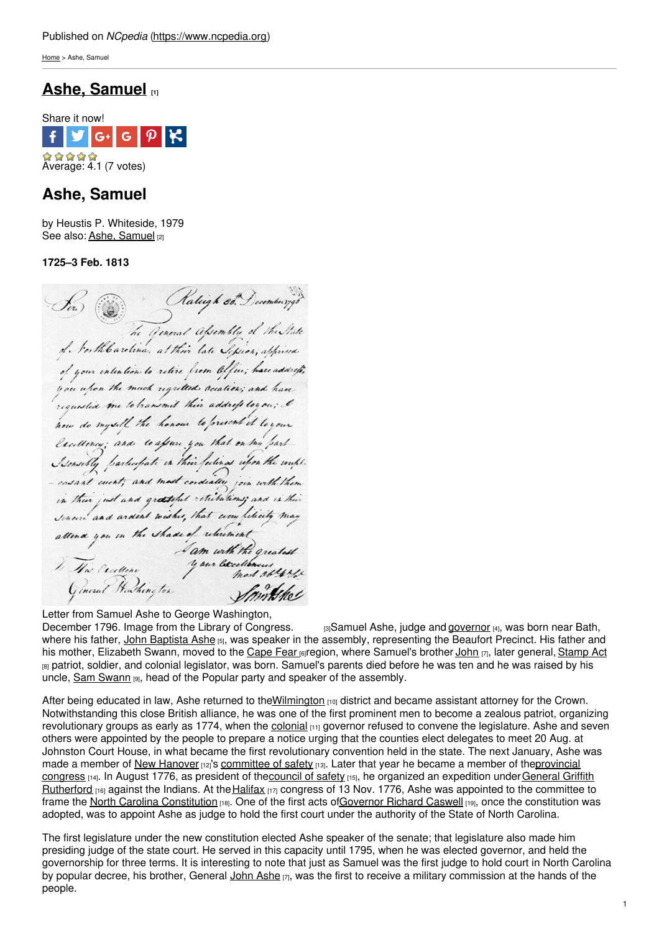[Home](https://www.ncpedia.org/) > Ashe, Samuel

# **Ashe, [Samuel](https://www.ncpedia.org/biography/ashe-samuel) [1]**



## **Ashe, Samuel**

by Heustis P. Whiteside, 1979 See also: Ashe, [Samuel](https://www.ncpedia.org/ashe-samuel) [2]

**1725–3 Feb. 1813**

Sir) & Ratigh est December 798<br>Le General apendely of the State<br>of Northbarelina, at this late Sepien, appriva of your intention to retire from Office ; have address , you when the much regreted occation; and have requested me to bransmit their address loy on ; I how do myself the honour to forward it loyour Excellency; and to after you that on the part Sensibly particulate in their fections when the couple. ensant cuent ; and most condially join with them in their just and greateful retributions; and is this Senere and ardent wishes, that every literity may senari and ardent towns, mar every reach of may<br>attend you in the shade of relaxional

Letter from Samuel Ashe to George Washington,

[December](http://memory.loc.gov/cgi-bin/ampage?collId=mgw4&fileName=gwpage110.db&recNum=448) 1796. Image from the Library of Congress.  $\qquad$ <sub>3</sub>Samuel Ashe, judge and [governor](https://www.ncpedia.org/government/governorship) [4], was born near Bath, where his father, John [Baptista](https://www.ncpedia.org/biography/ashe-john-baptista) Ashe [5], was speaker in the assembly, representing the Beaufort Precinct. His father and his mother, Elizabeth Swann, moved to the [Cape](https://www.ncpedia.org/cape-fear-river-settlements) Fear region, where Samuel's brother [John](https://www.ncpedia.org/biography/ashe-john) [7], later general, [Stamp](https://www.ncpedia.org/stamp-act) Act  $B<sub>181</sub>$  patriot, soldier, and colonial legislator, was born. Samuel's parents died before he was ten and he was raised by his uncle, Sam [Swann](https://www.ncpedia.org/biography/swann-samuel) [9], head of the Popular party and speaker of the assembly.

After being educated in law, Ashe returned to the Wilmington [10] district and became assistant attorney for the Crown. Notwithstanding this close British alliance, he was one of the first prominent men to become a zealous patriot, organizing revolutionary groups as early as 1774, when the [colonial](https://www.ncpedia.org/history/colonial)  $[11]$  governor refused to convene the legislature. Ashe and seven others were appointed by the people to prepare a notice urging that the counties elect delegates to meet 20 Aug. at Johnston Court House, in what became the first revolutionary convention held in the state. The next January, Ashe was made a member of New [Hanover](https://www.ncpedia.org/geography/new-hanover) [12]'s [committee](https://www.ncpedia.org/committees-safety) of safety [13]. Later that year he became a member of theprovincial congress [14]. In August 1776, as president of th[ecouncil](https://www.ncpedia.org/council-safety) of safety [15], he organized an expedition under General Griffith Rutherford [16] against the Indians. At the [Halifax](https://www.ncpedia.org/halifax) [17] congress of 13 Nov. 1776, Ashe was appointed to the committee to frame the North Carolina [Constitution](https://www.ncpedia.org/government/nc-constitution-history) [18]. One of the first acts o[fGovernor](https://www.ncpedia.org/caswell-richard-research-branch-nc) Richard Caswell [19], once the constitution was adopted, was to appoint Ashe as judge to hold the first court under the authority of the State of North Carolina.

The first legislature under the new constitution elected Ashe speaker of the senate; that legislature also made him presiding judge of the state court. He served in this capacity until 1795, when he was elected governor, and held the governorship for three terms. It is interesting to note that just as Samuel was the first judge to hold court in North Carolina by popular decree, his brother, General John [Ashe](https://www.ncpedia.org/biography/ashe-john)  $[7]$ , was the first to receive a military commission at the hands of the people.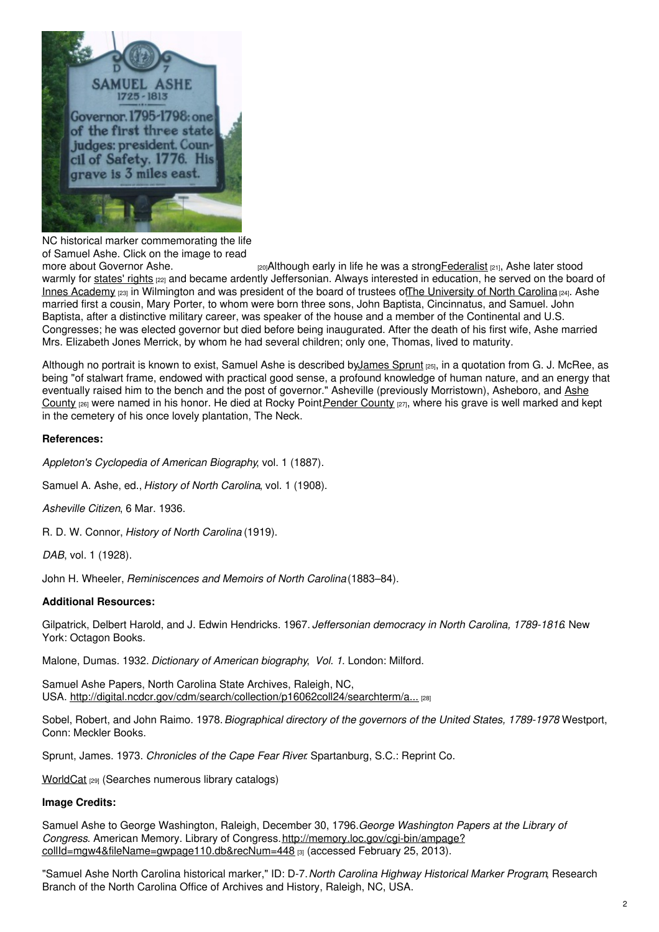

NC historical marker commemorating the life of Samuel Ashe. Click on the image to read

more about [Governor](https://www.ncdcr.gov/about/history/division-historical-resources/nc-highway-historical-marker-program/Markers.aspx?sp=search&k=Markers&sv=D-7) Ashe. *Exalal to a strong Federalist [21]*, Ashe later stood warmly for [states'](https://www.ncpedia.org/state-rights) rights [22] and became ardently Jeffersonian. Always interested in education, he served on the board of Innes [Academy](http://www.nhcgov.com/Library/Documents/Timeline 1800_1850.pdf) [23] in Wilmington and was president of the board of trustees ofThe [University](https://www.ncpedia.org/university-north-carolina-chapel-hi) of North Carolina [24]. Ashe married first a cousin, Mary Porter, to whom were born three sons, John Baptista, Cincinnatus, and Samuel. John Baptista, after a distinctive military career, was speaker of the house and a member of the Continental and U.S. Congresses; he was elected governor but died before being inaugurated. After the death of his first wife, Ashe married Mrs. Elizabeth Jones Merrick, by whom he had several children; only one, Thomas, lived to maturity.

Although no portrait is known to exist, Samuel Ashe is described by James Sprunt [25], in a quotation from G. J. McRee, as being "of stalwart frame, endowed with practical good sense, a profound knowledge of human nature, and an energy that eventually raised him to the bench and the post of governor." Asheville (previously Morristown), Asheboro, and Ashe County <sub>[26]</sub> were named in his honor. He died at Rocky Point Pender County [27], where his grave is well marked and kept in the cemetery of his once lovely plantation, The Neck.

## **References:**

*Appleton's Cyclopedia of American Biography*, vol. 1 (1887).

Samuel A. Ashe, ed., *History of North Carolina*, vol. 1 (1908).

*Asheville Citizen*, 6 Mar. 1936.

R. D. W. Connor, *History of North Carolina* (1919).

```
DAB, vol. 1 (1928).
```
John H. Wheeler, *Reminiscences and Memoirs of North Carolina*(1883–84).

## **Additional Resources:**

Gilpatrick, Delbert Harold, and J. Edwin Hendricks. 1967. *Jeffersonian democracy in North Carolina, 1789-1816*. New York: Octagon Books.

Malone, Dumas. 1932. *Dictionary of American biography*, *Vol. 1*. London: Milford.

Samuel Ashe Papers, North Carolina State Archives, Raleigh, NC, USA. [http://digital.ncdcr.gov/cdm/search/collection/p16062coll24/searchterm/a...](http://digital.ncdcr.gov/cdm/search/collection/p16062coll24/searchterm/ashe%2C samuel%2C 1725-1813/field/subjec/mode/all/conn/and/order/date/ad/asc) [28]

Sobel, Robert, and John Raimo. 1978.*Biographical directory of the governors of the United States, 1789-1978*. Westport, Conn: Meckler Books.

Sprunt, James. 1973. *Chronicles of the Cape Fear River*. Spartanburg, S.C.: Reprint Co.

[WorldCat](https://www.worldcat.org/search?q=kw%3A%22samuel+ashe%22+kw%3A%22north+carolina%22&qt=results_page) [29] (Searches numerous library catalogs)

## **Image Credits:**

Samuel Ashe to George Washington, Raleigh, December 30, 1796.*George Washington Papers at the Library of Congress*. American Memory. Library of Congress.http://memory.loc.gov/cgi-bin/ampage? [collId=mgw4&fileName=gwpage110.db&recNum=448](http://memory.loc.gov/cgi-bin/ampage?collId=mgw4&fileName=gwpage110.db&recNum=448) [3] (accessed February 25, 2013).

"Samuel Ashe North Carolina historical marker," ID: D-7.*North Carolina Highway Historical Marker Program*, Research Branch of the North Carolina Office of Archives and History, Raleigh, NC, USA.